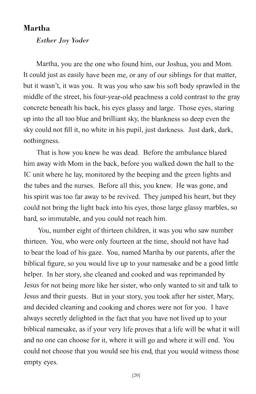## **Martha**

*Esther Joy Yoder* 

Martha, you are the one who found him, our Joshua, you and Mom. It could just as easily have been me, or any of our siblings for that matter, but it wasn't, it was you. It was you who saw his soft body sprawled in the middle of the street, his four-year-old peachness a cold contrast to the gray concrete beneath his back, his eyes glassy and large. Those eyes, staring up into the all too blue and brilliant sky, the blankness so deep even the sky could not fill it, no white in his pupil, just darkness. Just dark, dark, nothingness.

That is how you knew he was dead. Before the ambulance blared him away with Mom in the back, before you walked down the hall to the IC unit where he lay, monitored by the beeping and the green lights and the tubes and the nurses. Before all this, you knew. He was gone, and his spirit was too far away to be revived. They jumped his heart, but they could not bring the light back into his eyes, those large glassy marbles, so hard, so immutable, and you could not reach him.

You, number eight of thirteen children, it was you who saw number thirteen. You, who were only fourteen at the time, should not have had to bear the load of his gaze. You, named Martha by our parents, after the biblical figure, so you would live up to your namesake and be a good little helper. In her story, she cleaned and cooked and was reprimanded by Jesus for not being more like her sister, who only wanted to sit and talk to Jesus and their guests. But in your story, you took after her sister, Mary, and decided cleaning and cooking and chores were not for you. I have always secretly delighted in the fact that you have not lived up to your biblical namesake, as if your very life proves that a life will be what it will and no one can choose for it, where it will go and where it will end: You could not choose that you would see his end, that you would witness those empty eyes.

[20]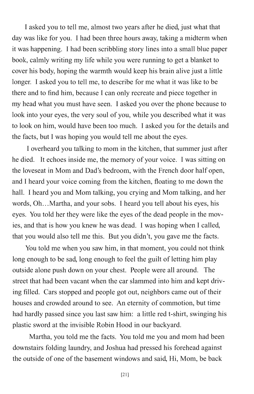I asked you to tell me, almost two years after he died, just what that day was like for you. I had been three hours away, taking a midterm when it was happening. I had been scribbling story lines into a small blue paper book, calmly writing my life while you were running to get a blanket to cover his body, hoping the warmth would keep his brain alive just a little longer. I asked you to tell me, to describe for me what it was like to be there and to find him, because I can only recreate and piece together in my head what you must have seen. I asked you over the phone because to look into your eyes, the very soul of you, while you described what it was to look on him, would have been too much. I asked you for the details and the facts, but I was hoping you would tell me about the eyes.

I overheard you talking to mom in the kitchen, that summer just after he died. It echoes inside me, the memory of your voice. I was sitting on the loveseat in Mom and Dad's bedroom, with the French door half open, and I heard your voice coming from the kitchen, floating to me down the hall. I heard you and Mom talking, you crying and Mom talking, and her words, Oh...Martha, and your sobs. I heard you tell about his eyes, his eyes. You told her they were like the eyes of the dead people in the movies, and that is how you knew he was dead. I was hoping when I called, that you would also tell me this. But you didn't, you gave me the facts.

You told me when you saw him, in that moment, you could not think long enough to be sad, long enough to feel the guilt of letting him play outside alone push down on your chest. People were all around. The street that had been vacant when the car slammed into him and kept driving filled. Cars stopped and people got out, neighbors came out of their houses and crowded around to see. An eternity of commotion, but time had hardly passed since you last saw him: a little red t-shirt, swinging his plastic sword at the invisible Robin Hood in our backyard.

Martha, you told me the facts. You told me you and mom had been downstairs folding laundry, and Joshua had pressed his forehead against the outside of one of the basement windows and said, Hi, Mom, be back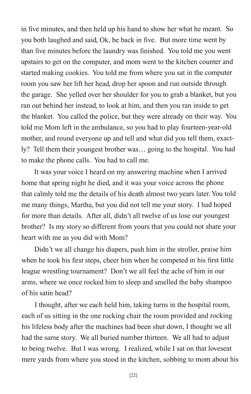in five minutes, and then held up his hand to show her what he meant. So you both laughed and said, Ok, be back in five. But more time went by than five minutes before the laundry was finished. You told me you went upstairs to get on the computer, and mom went to the kitchen counter and started making cookies. You told me from where you sat in the computer room you saw her lift her head, drop her spoon and run outside through the garage. She yelled over her shoulder for you to grab a blanket, but you ran out behind her instead, to look at him, and then you ran inside to get the blanket. You called the police, but they were already on their way. You told me Mom left in the ambulance, so you had to play fourteen-year-old mother, and round everyone up and tell and what did you tell them, exactly? Tell them their youngest brother was ... going to the hospital. You had to make the phone calls. You had to call me.

lt was your voice I heard on my answering machine when I arrived home that spring night he died, and it was your voice across the phone that calmly told me the details of his death almost two years later. You told me many things, Martha, but you did not tell me your story. I had hoped for more than details. After all, didn't all twelve of us lose our youngest brother? Is my story so different from yours that you could not share your heart with me as you did with Mom?

Didn't we all change his diapers, push him in the stroller, praise him when he took his first steps, cheer him when he competed in his first little league wrestling tournament? Don't we all feel the ache of him in our arms, where we once rocked him to sleep and smelled the baby shampoo of his satin head?

I thought, after we each held him, taking turns in the hospital room, each of us sitting in the one rocking chair the room provided and rocking his lifeless body after the machines had been shut down, I thought we all had the same story. We all buried number thirteen. We all had to adjust to being twelve. But I was wrong. I realized, while I sat on that loveseat mere yards from where you stood in the kitchen, sobbing to mom about his